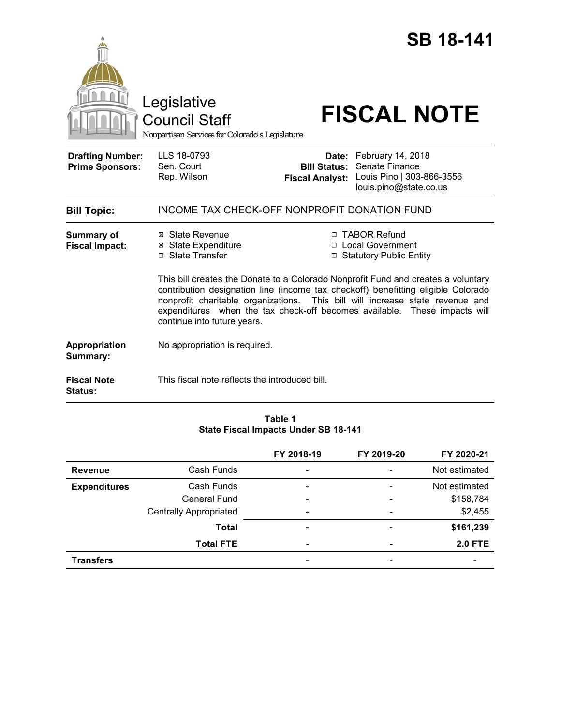|                                                   | Legislative<br><b>Council Staff</b><br>Nonpartisan Services for Colorado's Legislature                                                                                                                                                                                                                                                                                                                                                                                                                 | <b>SB 18-141</b><br><b>FISCAL NOTE</b>                                                                                                            |  |  |  |
|---------------------------------------------------|--------------------------------------------------------------------------------------------------------------------------------------------------------------------------------------------------------------------------------------------------------------------------------------------------------------------------------------------------------------------------------------------------------------------------------------------------------------------------------------------------------|---------------------------------------------------------------------------------------------------------------------------------------------------|--|--|--|
| <b>Drafting Number:</b><br><b>Prime Sponsors:</b> | LLS 18-0793<br>Sen. Court<br>Rep. Wilson                                                                                                                                                                                                                                                                                                                                                                                                                                                               | Date: February 14, 2018<br>Senate Finance<br><b>Bill Status:</b><br>Louis Pino   303-866-3556<br><b>Fiscal Analyst:</b><br>louis.pino@state.co.us |  |  |  |
| <b>Bill Topic:</b>                                | INCOME TAX CHECK-OFF NONPROFIT DONATION FUND                                                                                                                                                                                                                                                                                                                                                                                                                                                           |                                                                                                                                                   |  |  |  |
| <b>Summary of</b><br><b>Fiscal Impact:</b>        | □ TABOR Refund<br>⊠ State Revenue<br>□ Local Government<br>⊠ State Expenditure<br>□ State Transfer<br>□ Statutory Public Entity<br>This bill creates the Donate to a Colorado Nonprofit Fund and creates a voluntary<br>contribution designation line (income tax checkoff) benefitting eligible Colorado<br>nonprofit charitable organizations. This bill will increase state revenue and<br>expenditures when the tax check-off becomes available. These impacts will<br>continue into future years. |                                                                                                                                                   |  |  |  |
| Appropriation<br>Summary:                         | No appropriation is required.                                                                                                                                                                                                                                                                                                                                                                                                                                                                          |                                                                                                                                                   |  |  |  |
| <b>Fiscal Note</b><br><b>Status:</b>              | This fiscal note reflects the introduced bill.                                                                                                                                                                                                                                                                                                                                                                                                                                                         |                                                                                                                                                   |  |  |  |

## **Table 1 State Fiscal Impacts Under SB 18-141**

|                     |                               | FY 2018-19 | FY 2019-20               | FY 2020-21     |
|---------------------|-------------------------------|------------|--------------------------|----------------|
| Revenue             | Cash Funds                    |            |                          | Not estimated  |
| <b>Expenditures</b> | Cash Funds                    |            |                          | Not estimated  |
|                     | General Fund                  |            |                          | \$158,784      |
|                     | <b>Centrally Appropriated</b> |            | $\overline{\phantom{0}}$ | \$2,455        |
|                     | Total                         |            |                          | \$161,239      |
|                     | <b>Total FTE</b>              | -          |                          | <b>2.0 FTE</b> |
| <b>Transfers</b>    |                               |            |                          |                |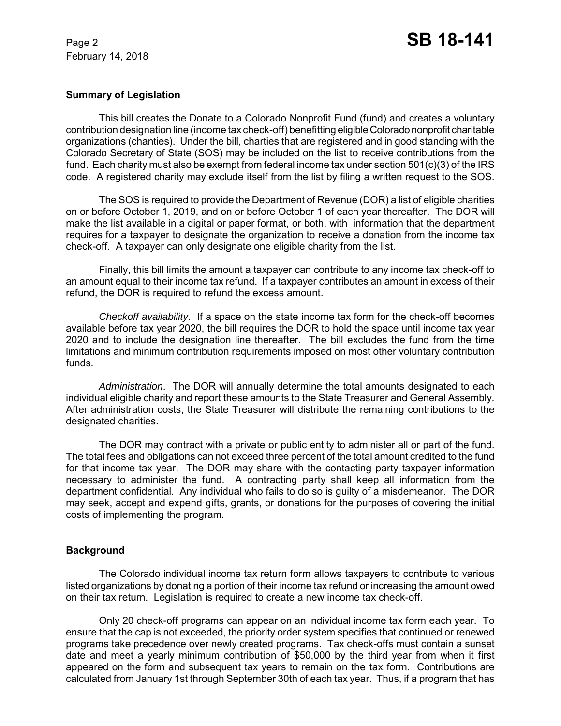February 14, 2018

## **Summary of Legislation**

This bill creates the Donate to a Colorado Nonprofit Fund (fund) and creates a voluntary contribution designation line (income tax check-off) benefitting eligible Colorado nonprofit charitable organizations (chanties). Under the bill, charties that are registered and in good standing with the Colorado Secretary of State (SOS) may be included on the list to receive contributions from the fund. Each charity must also be exempt from federal income tax under section 501(c)(3) of the IRS code. A registered charity may exclude itself from the list by filing a written request to the SOS.

The SOS is required to provide the Department of Revenue (DOR) a list of eligible charities on or before October 1, 2019, and on or before October 1 of each year thereafter. The DOR will make the list available in a digital or paper format, or both, with information that the department requires for a taxpayer to designate the organization to receive a donation from the income tax check-off. A taxpayer can only designate one eligible charity from the list.

Finally, this bill limits the amount a taxpayer can contribute to any income tax check-off to an amount equal to their income tax refund. If a taxpayer contributes an amount in excess of their refund, the DOR is required to refund the excess amount.

*Checkoff availability*. If a space on the state income tax form for the check-off becomes available before tax year 2020, the bill requires the DOR to hold the space until income tax year 2020 and to include the designation line thereafter. The bill excludes the fund from the time limitations and minimum contribution requirements imposed on most other voluntary contribution funds.

*Administration*. The DOR will annually determine the total amounts designated to each individual eligible charity and report these amounts to the State Treasurer and General Assembly. After administration costs, the State Treasurer will distribute the remaining contributions to the designated charities.

The DOR may contract with a private or public entity to administer all or part of the fund. The total fees and obligations can not exceed three percent of the total amount credited to the fund for that income tax year. The DOR may share with the contacting party taxpayer information necessary to administer the fund. A contracting party shall keep all information from the department confidential. Any individual who fails to do so is guilty of a misdemeanor. The DOR may seek, accept and expend gifts, grants, or donations for the purposes of covering the initial costs of implementing the program.

## **Background**

The Colorado individual income tax return form allows taxpayers to contribute to various listed organizations by donating a portion of their income tax refund or increasing the amount owed on their tax return. Legislation is required to create a new income tax check-off.

Only 20 check-off programs can appear on an individual income tax form each year. To ensure that the cap is not exceeded, the priority order system specifies that continued or renewed programs take precedence over newly created programs. Tax check-offs must contain a sunset date and meet a yearly minimum contribution of \$50,000 by the third year from when it first appeared on the form and subsequent tax years to remain on the tax form. Contributions are calculated from January 1st through September 30th of each tax year. Thus, if a program that has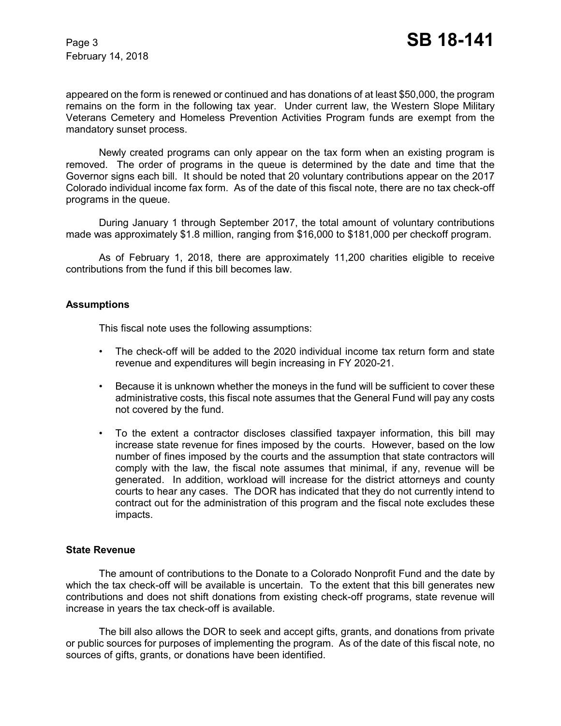appeared on the form is renewed or continued and has donations of at least \$50,000, the program remains on the form in the following tax year. Under current law, the Western Slope Military Veterans Cemetery and Homeless Prevention Activities Program funds are exempt from the mandatory sunset process.

Newly created programs can only appear on the tax form when an existing program is removed. The order of programs in the queue is determined by the date and time that the Governor signs each bill. It should be noted that 20 voluntary contributions appear on the 2017 Colorado individual income fax form. As of the date of this fiscal note, there are no tax check-off programs in the queue.

During January 1 through September 2017, the total amount of voluntary contributions made was approximately \$1.8 million, ranging from \$16,000 to \$181,000 per checkoff program.

As of February 1, 2018, there are approximately 11,200 charities eligible to receive contributions from the fund if this bill becomes law.

## **Assumptions**

This fiscal note uses the following assumptions:

- The check-off will be added to the 2020 individual income tax return form and state revenue and expenditures will begin increasing in FY 2020-21.
- Because it is unknown whether the moneys in the fund will be sufficient to cover these administrative costs, this fiscal note assumes that the General Fund will pay any costs not covered by the fund.
- To the extent a contractor discloses classified taxpayer information, this bill may increase state revenue for fines imposed by the courts. However, based on the low number of fines imposed by the courts and the assumption that state contractors will comply with the law, the fiscal note assumes that minimal, if any, revenue will be generated. In addition, workload will increase for the district attorneys and county courts to hear any cases. The DOR has indicated that they do not currently intend to contract out for the administration of this program and the fiscal note excludes these impacts.

## **State Revenue**

The amount of contributions to the Donate to a Colorado Nonprofit Fund and the date by which the tax check-off will be available is uncertain. To the extent that this bill generates new contributions and does not shift donations from existing check-off programs, state revenue will increase in years the tax check-off is available.

The bill also allows the DOR to seek and accept gifts, grants, and donations from private or public sources for purposes of implementing the program. As of the date of this fiscal note, no sources of gifts, grants, or donations have been identified.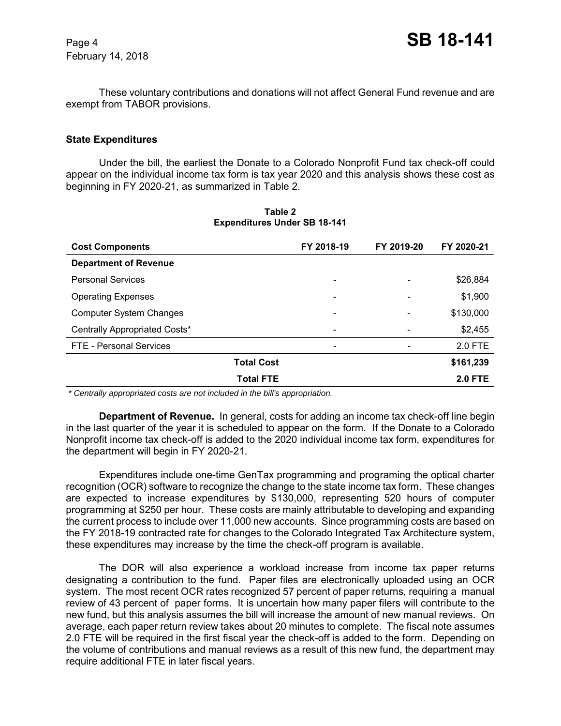February 14, 2018

These voluntary contributions and donations will not affect General Fund revenue and are exempt from TABOR provisions.

#### **State Expenditures**

Under the bill, the earliest the Donate to a Colorado Nonprofit Fund tax check-off could appear on the individual income tax form is tax year 2020 and this analysis shows these cost as beginning in FY 2020-21, as summarized in Table 2.

| <b>Cost Components</b>         | FY 2018-19                   | FY 2019-20 | FY 2020-21     |
|--------------------------------|------------------------------|------------|----------------|
| <b>Department of Revenue</b>   |                              |            |                |
| <b>Personal Services</b>       | $\overline{\phantom{0}}$     |            | \$26,884       |
| <b>Operating Expenses</b>      | -                            |            | \$1,900        |
| <b>Computer System Changes</b> | $\overline{\phantom{a}}$     |            | \$130,000      |
| Centrally Appropriated Costs*  | $\overline{\phantom{a}}$     |            | \$2,455        |
| FTE - Personal Services        | $\qquad \qquad \blacksquare$ |            | 2.0 FTE        |
| <b>Total Cost</b>              |                              |            | \$161,239      |
| <b>Total FTE</b>               |                              |            | <b>2.0 FTE</b> |

**Table 2 Expenditures Under SB 18-141**

 *\* Centrally appropriated costs are not included in the bill's appropriation.*

**Department of Revenue.** In general, costs for adding an income tax check-off line begin in the last quarter of the year it is scheduled to appear on the form. If the Donate to a Colorado Nonprofit income tax check-off is added to the 2020 individual income tax form, expenditures for the department will begin in FY 2020-21.

Expenditures include one-time GenTax programming and programing the optical charter recognition (OCR) software to recognize the change to the state income tax form. These changes are expected to increase expenditures by \$130,000, representing 520 hours of computer programming at \$250 per hour. These costs are mainly attributable to developing and expanding the current process to include over 11,000 new accounts. Since programming costs are based on the FY 2018-19 contracted rate for changes to the Colorado Integrated Tax Architecture system, these expenditures may increase by the time the check-off program is available.

The DOR will also experience a workload increase from income tax paper returns designating a contribution to the fund. Paper files are electronically uploaded using an OCR system. The most recent OCR rates recognized 57 percent of paper returns, requiring a manual review of 43 percent of paper forms. It is uncertain how many paper filers will contribute to the new fund, but this analysis assumes the bill will increase the amount of new manual reviews. On average, each paper return review takes about 20 minutes to complete. The fiscal note assumes 2.0 FTE will be required in the first fiscal year the check-off is added to the form. Depending on the volume of contributions and manual reviews as a result of this new fund, the department may require additional FTE in later fiscal years.